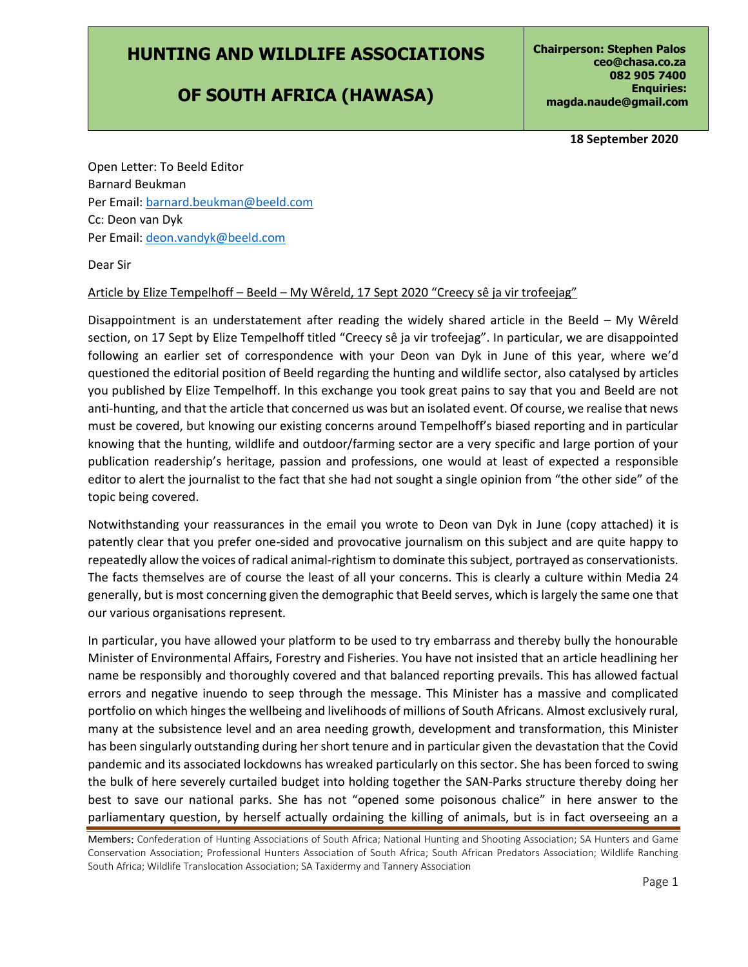## **HUNTING AND WILDLIFE ASSOCIATIONS**

## **OF SOUTH AFRICA (HAWASA)**

**18 September 2020**

Open Letter: To Beeld Editor Barnard Beukman Per Email: [barnard.beukman@beeld.com](mailto:barnard.beukman@beeld.com) Cc: Deon van Dyk Per Email: [deon.vandyk@beeld.com](mailto:deon.vandyk@beeld.com)

Dear Sir

## Article by Elize Tempelhoff - Beeld - My Wêreld, 17 Sept 2020 "Creecy sê ja vir trofeejag"

Disappointment is an understatement after reading the widely shared article in the Beeld – My Wêreld section, on 17 Sept by Elize Tempelhoff titled "Creecy sê ja vir trofeejag". In particular, we are disappointed following an earlier set of correspondence with your Deon van Dyk in June of this year, where we'd questioned the editorial position of Beeld regarding the hunting and wildlife sector, also catalysed by articles you published by Elize Tempelhoff. In this exchange you took great pains to say that you and Beeld are not anti-hunting, and that the article that concerned us was but an isolated event. Of course, we realise that news must be covered, but knowing our existing concerns around Tempelhoff's biased reporting and in particular knowing that the hunting, wildlife and outdoor/farming sector are a very specific and large portion of your publication readership's heritage, passion and professions, one would at least of expected a responsible editor to alert the journalist to the fact that she had not sought a single opinion from "the other side" of the topic being covered.

Notwithstanding your reassurances in the email you wrote to Deon van Dyk in June (copy attached) it is patently clear that you prefer one-sided and provocative journalism on this subject and are quite happy to repeatedly allow the voices of radical animal-rightism to dominate this subject, portrayed as conservationists. The facts themselves are of course the least of all your concerns. This is clearly a culture within Media 24 generally, but is most concerning given the demographic that Beeld serves, which is largely the same one that our various organisations represent.

In particular, you have allowed your platform to be used to try embarrass and thereby bully the honourable Minister of Environmental Affairs, Forestry and Fisheries. You have not insisted that an article headlining her name be responsibly and thoroughly covered and that balanced reporting prevails. This has allowed factual errors and negative inuendo to seep through the message. This Minister has a massive and complicated portfolio on which hinges the wellbeing and livelihoods of millions of South Africans. Almost exclusively rural, many at the subsistence level and an area needing growth, development and transformation, this Minister has been singularly outstanding during her short tenure and in particular given the devastation that the Covid pandemic and its associated lockdowns has wreaked particularly on this sector. She has been forced to swing the bulk of here severely curtailed budget into holding together the SAN-Parks structure thereby doing her best to save our national parks. She has not "opened some poisonous chalice" in here answer to the parliamentary question, by herself actually ordaining the killing of animals, but is in fact overseeing an a

Members: Confederation of Hunting Associations of South Africa; National Hunting and Shooting Association; SA Hunters and Game Conservation Association; Professional Hunters Association of South Africa; South African Predators Association; Wildlife Ranching South Africa; Wildlife Translocation Association; SA Taxidermy and Tannery Association